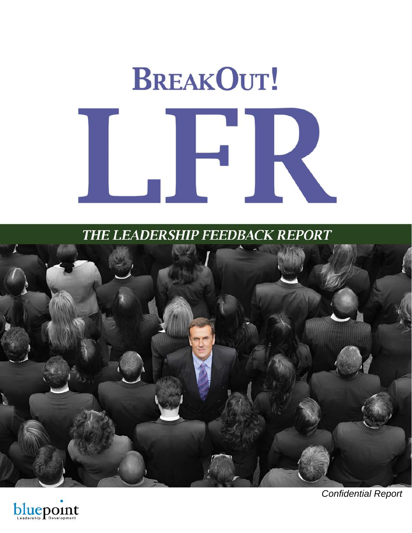# **BREAKOUT!** K

THE LEADERSHIP FEEDBACK REPORT





Confidential Report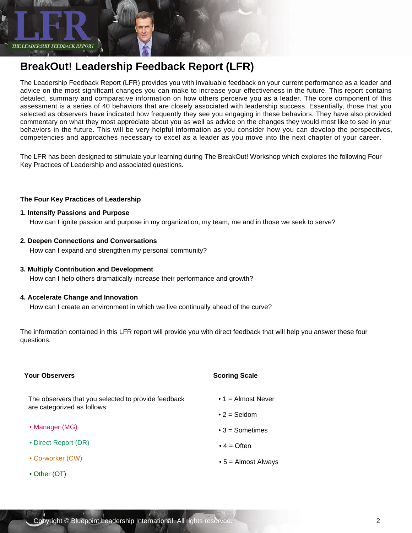THE LEADERSHIP FEEDBACK REPORT

# **BreakOut! Leadership Feedback Report (LFR)**

The Leadership Feedback Report (LFR) provides you with invaluable feedback on your current performance as a leader and advice on the most significant changes you can make to increase your effectiveness in the future. This report contains detailed, summary and comparative information on how others perceive you as a leader. The core component of this assessment is a series of 40 behaviors that are closely associated with leadership success. Essentially, those that you selected as observers have indicated how frequently they see you engaging in these behaviors. They have also provided commentary on what they most appreciate about you as well as advice on the changes they would most like to see in your behaviors in the future. This will be very helpful information as you consider how you can develop the perspectives, competencies and approaches necessary to excel as a leader as you move into the next chapter of your career.

The LFR has been designed to stimulate your learning during The BreakOut! Workshop which explores the following Four Key Practices of Leadership and associated questions.

#### **The Four Key Practices of Leadership**

#### **1. Intensify Passions and Purpose**

How can I ignite passion and purpose in my organization, my team, me and in those we seek to serve?

**2. Deepen Connections and Conversations**

How can I expand and strengthen my personal community?

**3. Multiply Contribution and Development**

How can I help others dramatically increase their performance and growth?

#### **4. Accelerate Change and Innovation**

How can I create an environment in which we live continually ahead of the curve?

The information contained in this LFR report will provide you with direct feedback that will help you answer these four questions.

| <b>Your Observers</b>                               | <b>Scoring Scale</b>        |
|-----------------------------------------------------|-----------------------------|
| The observers that you selected to provide feedback | $\bullet$ 1 = Almost Never  |
| are categorized as follows:                         | $\bullet$ 2 = Seldom        |
| • Manager (MG)                                      | $\bullet$ 3 = Sometimes     |
| • Direct Report (DR)                                | $\bullet$ 4 = Often         |
| • Co-worker (CW)                                    | $\bullet$ 5 = Almost Always |
| • Other (OT)                                        |                             |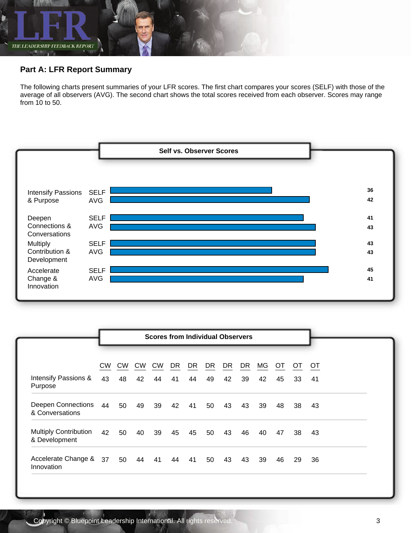

## **Part A: LFR Report Summary**

The following charts present summaries of your LFR scores. The first chart compares your scores (SELF) with those of the average of all observers (AVG). The second chart shows the total scores received from each observer. Scores may range from 10 to 50.



|                                                         |          |                 |                 | <b>Scores from Individual Observers</b> |          |          |          |          |          |          |          |                 |          |
|---------------------------------------------------------|----------|-----------------|-----------------|-----------------------------------------|----------|----------|----------|----------|----------|----------|----------|-----------------|----------|
| Intensify Passions &                                    | CW<br>43 | <b>CW</b><br>48 | <b>CW</b><br>42 | <b>CW</b><br>44                         | DR<br>41 | DR<br>44 | DR<br>49 | DR<br>42 | DR<br>39 | МG<br>42 | ОT<br>45 | <b>OT</b><br>33 | 0T<br>41 |
| Purpose<br><b>Deepen Connections</b><br>& Conversations | 44       | 50              | 49              | 39                                      | 42       | 41       | 50       | 43       | 43       | 39       | 48       | -38             | 43       |
| <b>Multiply Contribution</b><br>& Development           | 42       | 50              | 40              | 39                                      | 45       | 45       | 50       | 43       | 46       | 40       | 47       | 38              | 43       |
| Accelerate Change &<br>Innovation                       | 37       | 50              | 44              | 41                                      | 44       | 41       | 50       | 43       | 43       | 39       | 46       | 29              | 36       |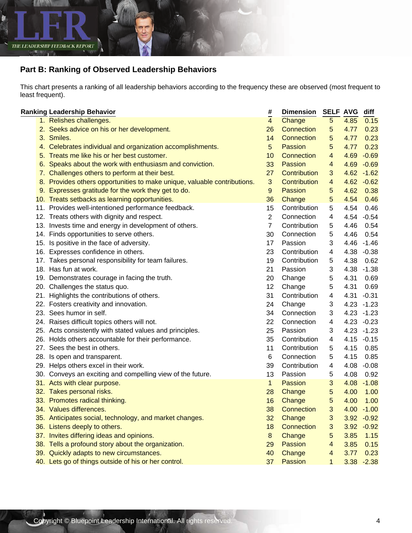

# **Part B: Ranking of Observed Leadership Behaviors**

This chart presents a ranking of all leadership behaviors according to the frequency these are observed (most frequent to least frequent).

| <b>Ranking Leadership Behavior</b>                                       | #              | <b>Dimension</b> | <b>SELF AVG</b> |      | diff          |
|--------------------------------------------------------------------------|----------------|------------------|-----------------|------|---------------|
| 1. Relishes challenges.                                                  | $\overline{4}$ | Change           | 5 <sup>5</sup>  | 4.85 | 0.15          |
| 2. Seeks advice on his or her development.                               | 26             | Connection       | $5^{\circ}$     | 4.77 | 0.23          |
| 3. Smiles.                                                               | 14             | Connection       | 5               | 4.77 | 0.23          |
| 4. Celebrates individual and organization accomplishments.               | 5              | Passion          | 5               | 4.77 | 0.23          |
| 5. Treats me like his or her best customer.                              | 10             | Connection       | 4               | 4.69 | $-0.69$       |
| 6. Speaks about the work with enthusiasm and conviction.                 | 33             | Passion          | $\overline{4}$  | 4.69 | $-0.69$       |
| 7. Challenges others to perform at their best.                           | 27             | Contribution     | 3               | 4.62 | $-1.62$       |
| 8. Provides others opportunities to make unique, valuable contributions. | 3              | Contribution     | 4               |      | $4.62 - 0.62$ |
| 9. Expresses gratitude for the work they get to do.                      | 9              | Passion          | $5^{\circ}$     | 4.62 | 0.38          |
| 10. Treats setbacks as learning opportunities.                           | 36             | Change           | 5               | 4.54 | 0.46          |
| 11. Provides well-intentioned performance feedback.                      | 15             | Contribution     | 5               | 4.54 | 0.46          |
| 12. Treats others with dignity and respect.                              | $\overline{2}$ | Connection       | 4               | 4.54 | $-0.54$       |
| 13. Invests time and energy in development of others.                    | $\overline{7}$ | Contribution     | 5               | 4.46 | 0.54          |
| 14. Finds opportunities to serve others.                                 | 30             | Connection       | 5               | 4.46 | 0.54          |
| 15. Is positive in the face of adversity.                                | 17             | Passion          | 3               |      | 4.46 -1.46    |
| 16. Expresses confidence in others.                                      | 23             | Contribution     | 4               | 4.38 | $-0.38$       |
| 17. Takes personal responsibility for team failures.                     | 19             | Contribution     | 5               | 4.38 | 0.62          |
| 18. Has fun at work.                                                     | 21             | Passion          | 3               | 4.38 | $-1.38$       |
| 19. Demonstrates courage in facing the truth.                            | 20             | Change           | 5               | 4.31 | 0.69          |
| 20. Challenges the status quo.                                           | 12             | Change           | 5               | 4.31 | 0.69          |
| 21. Highlights the contributions of others.                              | 31             | Contribution     | 4               | 4.31 | $-0.31$       |
| 22. Fosters creativity and innovation.                                   | 24             | Change           | 3               |      | $4.23 - 1.23$ |
| 23. Sees humor in self.                                                  | 34             | Connection       | 3               |      | $4.23 - 1.23$ |
| 24. Raises difficult topics others will not.                             | 22             | Connection       | 4               | 4.23 | $-0.23$       |
| 25. Acts consistently with stated values and principles.                 | 25             | Passion          | 3               | 4.23 | $-1.23$       |
| 26. Holds others accountable for their performance.                      | 35             | Contribution     | 4               | 4.15 | $-0.15$       |
| 27. Sees the best in others.                                             | 11             | Contribution     | 5               | 4.15 | 0.85          |
| 28. Is open and transparent.                                             | 6              | Connection       | 5               | 4.15 | 0.85          |
| 29. Helps others excel in their work.                                    | 39             | Contribution     | 4               | 4.08 | $-0.08$       |
| 30. Conveys an exciting and compelling view of the future.               | 13             | Passion          | 5               | 4.08 | 0.92          |
| 31. Acts with clear purpose.                                             | $\mathbf{1}$   | Passion          | 3               | 4.08 | $-1.08$       |
| 32. Takes personal risks.                                                | 28             | Change           | 5 <sub>5</sub>  | 4.00 | 1.00          |
| 33. Promotes radical thinking.                                           | 16             | Change           | 5               | 4.00 | 1.00          |
| 34. Values differences.                                                  | 38             | Connection       | 3 <sup>7</sup>  |      | $4.00 - 1.00$ |
| 35. Anticipates social, technology, and market changes.                  | 32             | Change           | 3               |      | $3.92 -0.92$  |
| 36. Listens deeply to others.                                            | 18             | Connection       | 3               | 3.92 | $-0.92$       |
| 37. Invites differing ideas and opinions.                                | 8              | Change           | 5               | 3.85 | 1.15          |
| 38. Tells a profound story about the organization.                       | 29             | <b>Passion</b>   | 4               | 3.85 | 0.15          |
| 39. Quickly adapts to new circumstances.                                 | 40             | Change           | 4               | 3.77 | 0.23          |
| 40. Lets go of things outside of his or her control.                     | 37             | Passion          | $\mathbf{1}$    |      | $3.38 - 2.38$ |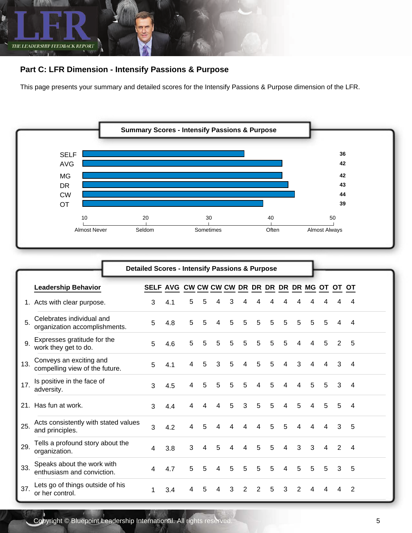

## **Part C: LFR Dimension - Intensify Passions & Purpose**

This page presents your summary and detailed scores for the Intensify Passions & Purpose dimension of the LFR.



|     |                                                            | <b>Detailed Scores - Intensify Passions &amp; Purpose</b> |     |   |   |   |   |   |   |   |                |   |   |                         |   |                |
|-----|------------------------------------------------------------|-----------------------------------------------------------|-----|---|---|---|---|---|---|---|----------------|---|---|-------------------------|---|----------------|
|     | <b>Leadership Behavior</b>                                 | SELF AVG CW CW CW CW DR DR DR DR DR MG OT OT              |     |   |   |   |   |   |   |   |                |   |   |                         |   | ЮT             |
|     | 1. Acts with clear purpose.                                | 3                                                         | 4.1 | 5 | 5 | 4 | 3 | 4 | 4 | 4 | 4              | 4 | 4 |                         |   | 4              |
| 5.  | Celebrates individual and<br>organization accomplishments. | 5                                                         | 4.8 | 5 | 5 | 4 | 5 | 5 | 5 | 5 | 5              | 5 | 5 | 5                       | 4 | 4              |
| 9.  | Expresses gratitude for the<br>work they get to do.        | 5                                                         | 4.6 | 5 | 5 | 5 | 5 | 5 | 5 | 5 | 5              | 4 | 4 | 5                       | 2 | 5              |
| 13. | Conveys an exciting and<br>compelling view of the future.  | 5                                                         | 4.1 | 4 | 5 | 3 | 5 | 4 | 5 | 5 | 4              | 3 | 4 | 4                       | 3 | 4              |
| 17. | Is positive in the face of<br>adversity.                   | 3                                                         | 4.5 | 4 | 5 | 5 | 5 | 5 | 4 | 5 | 4              | 4 | 5 | 5                       | 3 | 4              |
|     | 21. Has fun at work.                                       | 3                                                         | 4.4 | 4 | 4 | 4 | 5 | 3 | 5 | 5 | 4              | 5 | 4 | 5                       | 5 | 4              |
| 25. | Acts consistently with stated values<br>and principles.    | 3                                                         | 4.2 | 4 | 5 | 4 | 4 | 4 | 4 | 5 | 5              | 4 | 4 | 4                       | 3 | 5              |
| 29. | Tells a profound story about the<br>organization.          | 4                                                         | 3.8 | 3 | 4 | 5 | 4 | 4 | 5 | 5 | $\overline{4}$ | 3 | 3 | $\overline{\mathbf{4}}$ | 2 | $\overline{4}$ |
| 33. | Speaks about the work with<br>enthusiasm and conviction.   | 4                                                         | 4.7 | 5 | 5 | 4 | 5 | 5 | 5 | 5 | 4              | 5 | 5 | 5                       | 3 | 5              |
| 37. | Lets go of things outside of his<br>or her control.        |                                                           | 3.4 | 4 | 5 | 4 | 3 | 2 | 2 | 5 | 3              | 2 | 4 |                         |   | 2              |

Copyright © Bluepoint Leadership International. All rights reserved. 5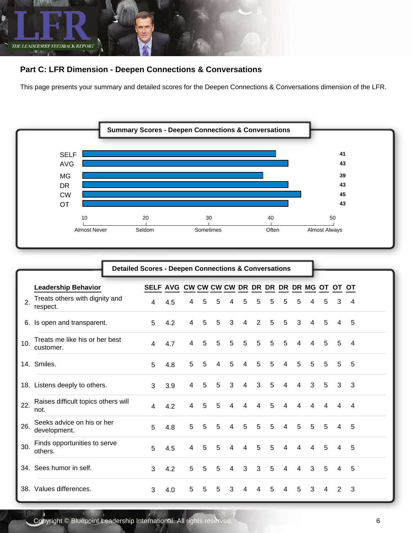

## **Part C: LFR Dimension - Deepen Connections & Conversations**

This page presents your summary and detailed scores for the Deepen Connections & Conversations dimension of the LFR.



|     | <b>Detailed Scores - Deepen Connections &amp; Conversations</b> |                                                 |     |   |   |   |                |                |                |   |                |                |   |   |   |                |  |
|-----|-----------------------------------------------------------------|-------------------------------------------------|-----|---|---|---|----------------|----------------|----------------|---|----------------|----------------|---|---|---|----------------|--|
|     | <b>Leadership Behavior</b>                                      | SELF AVG CW CW CW CW DR DR DR DR DR MG OT OT OT |     |   |   |   |                |                |                |   |                |                |   |   |   |                |  |
| 2.  | Treats others with dignity and<br>respect.                      | 4                                               | 4.5 | 4 | 5 | 5 | 4              | 5              | 5              | 5 | 5              | 5              | 4 | 5 | 3 | 4              |  |
| 6.  | Is open and transparent.                                        | 5                                               | 4.2 | 4 | 5 | 5 | 3              | 4              | $\overline{2}$ | 5 | 5              | 3              | 4 | 5 | 4 | 5              |  |
| 10. | Treats me like his or her best<br>customer.                     | 4                                               | 4.7 | 4 | 5 | 5 | 5              | 5              | 5              | 5 | 5              | 4              | 4 | 5 | 5 | $\overline{4}$ |  |
|     | 14. Smiles.                                                     | 5                                               | 4.8 | 5 | 5 | 4 | 5              | 4              | 5              | 5 | $\overline{4}$ | 5              | 5 | 5 | 5 | 5              |  |
|     | 18. Listens deeply to others.                                   | 3                                               | 3.9 | 4 | 5 | 5 | 3              | $\overline{4}$ | 3              | 5 | 4              | 4              | 3 | 5 | 3 | 3              |  |
| 22. | Raises difficult topics others will<br>not.                     | $\overline{4}$                                  | 4.2 | 4 | 5 | 5 | 4              | $\overline{4}$ | 4              | 5 | 4              | 4              | 4 | 4 | 4 | 4              |  |
| 26. | Seeks advice on his or her<br>development.                      | 5                                               | 4.8 | 5 | 5 | 5 | $\overline{4}$ | 5              | 5              | 5 | $\overline{4}$ | 5              | 5 | 5 | 4 | -5             |  |
| 30. | Finds opportunities to serve<br>others.                         | 5                                               | 4.5 | 4 | 5 | 5 | 4              | 4              | 5              | 5 | 4              | 4              | 4 | 5 | 4 | 5              |  |
|     | 34. Sees humor in self.                                         | 3                                               | 4.2 | 5 | 5 | 5 | $\overline{4}$ | 3              | 3              | 5 | 4              | $\overline{4}$ | 3 | 5 | 4 | 5              |  |
| 38. | Values differences.                                             | 3                                               | 4.0 | 5 | 5 | 5 | 3              | 4              | 4              | 5 | 4              | 5              | 3 | 4 | 2 | 3              |  |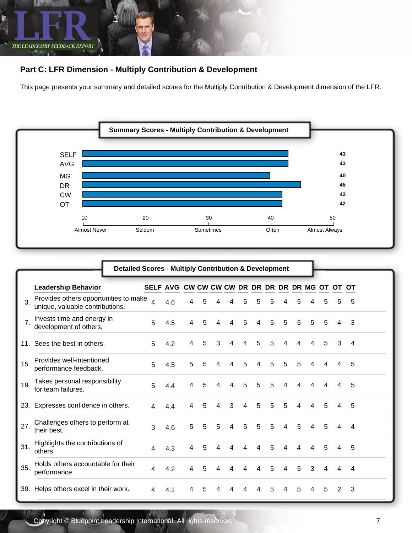

## **Part C: LFR Dimension - Multiply Contribution & Development**

This page presents your summary and detailed scores for the Multiply Contribution & Development dimension of the LFR.



|                                                                                | <b>Detailed Scores - Multiply Contribution &amp; Development</b> |                          |                                                 |   |   |   |   |   |   |   |   |   |   |   |   |   |  |
|--------------------------------------------------------------------------------|------------------------------------------------------------------|--------------------------|-------------------------------------------------|---|---|---|---|---|---|---|---|---|---|---|---|---|--|
| <b>Leadership Behavior</b>                                                     |                                                                  |                          | SELF AVG CW CW CW CW DR DR DR DR DR MG OT OT OT |   |   |   |   |   |   |   |   |   |   |   |   |   |  |
| Provides others opportunities to make<br>3.<br>unique, valuable contributions. |                                                                  | $\overline{\mathcal{A}}$ | 4.6                                             | 4 | 5 |   |   | 5 | 5 | 5 | 4 | 5 | 4 | 5 | 5 | 5 |  |
| Invests time and energy in<br>7.<br>development of others.                     |                                                                  | 5                        | 4.5                                             | 4 | 5 | 4 | 4 | 5 | 4 | 5 | 5 | 5 | 5 | 5 | 4 | 3 |  |
| 11. Sees the best in others.                                                   |                                                                  | 5                        | 4.2                                             | 4 | 5 | 3 | 4 | 4 | 5 | 5 | 4 | 4 | 4 | 5 | 3 | 4 |  |
| Provides well-intentioned<br>15.<br>performance feedback.                      |                                                                  | 5                        | 4.5                                             | 5 | 5 | 4 | 4 | 5 | 4 | 5 | 5 | 5 | 4 | 4 | 4 | 5 |  |
| Takes personal responsibility<br>19.<br>for team failures.                     |                                                                  | 5                        | 4.4                                             | 4 | 5 | 4 | 4 | 5 | 5 | 5 | 4 | 4 | 4 | 4 | 4 | 5 |  |
| Expresses confidence in others.<br>23.                                         |                                                                  | 4                        | 4.4                                             | 4 | 5 | 4 | 3 | 4 | 5 | 5 | 5 | 4 | 4 | 5 | 4 | 5 |  |
| Challenges others to perform at<br>27.<br>their best.                          |                                                                  | 3                        | 4.6                                             | 5 | 5 | 5 | 4 | 5 | 5 | 5 | 4 | 5 | 4 | 5 | 4 | 4 |  |
| Highlights the contributions of<br>31.<br>others.                              |                                                                  | 4                        | 4.3                                             | 4 | 5 | 4 | 4 | 4 | 4 | 5 | 4 | 4 | 4 | 5 | 4 | 5 |  |
| Holds others accountable for their<br>35.<br>performance.                      |                                                                  | 4                        | 4.2                                             | 4 | 5 | 4 | 4 | 4 | 4 | 5 | 4 | 5 | 3 | 4 | 4 | 4 |  |
| 39. Helps others excel in their work.                                          |                                                                  | 4                        | 4.1                                             | 4 | 5 | 4 | 4 | 4 | 4 | 5 | 4 | 5 | 4 | 5 | 2 | 3 |  |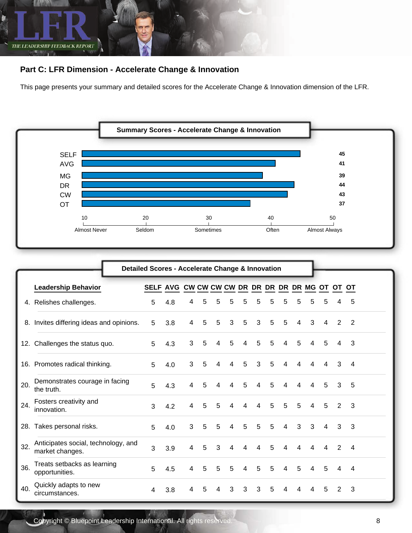

## **Part C: LFR Dimension - Accelerate Change & Innovation**

This page presents your summary and detailed scores for the Accelerate Change & Innovation dimension of the LFR.



|     | Detailed Scores - Accelerate Change & Innovation       |                                                 |     |                |   |   |                |   |                |   |                |   |                |                |   |                |  |
|-----|--------------------------------------------------------|-------------------------------------------------|-----|----------------|---|---|----------------|---|----------------|---|----------------|---|----------------|----------------|---|----------------|--|
|     | <b>Leadership Behavior</b>                             | SELF AVG CW CW CW CW DR DR DR DR DR MG OT OT OT |     |                |   |   |                |   |                |   |                |   |                |                |   |                |  |
|     | 4. Relishes challenges.                                | 5                                               | 4.8 | 4              | 5 | 5 | 5              | 5 | 5              | 5 | 5              | 5 | 5              | 5              |   | 5              |  |
| 8.  | Invites differing ideas and opinions.                  | 5                                               | 3.8 | 4              | 5 | 5 | 3              | 5 | 3              | 5 | 5              | 4 | 3              | 4              | 2 | 2              |  |
|     | 12. Challenges the status quo.                         | 5                                               | 4.3 | 3              | 5 | 4 | 5              | 4 | 5              | 5 | 4              | 5 | 4              | 5              | 4 | 3              |  |
|     | 16. Promotes radical thinking.                         | 5                                               | 4.0 | 3              | 5 | 4 | $\overline{4}$ | 5 | 3              | 5 | $\overline{4}$ | 4 | 4              | 4              | 3 | $\overline{4}$ |  |
| 20. | Demonstrates courage in facing<br>the truth.           | 5                                               | 4.3 | 4              | 5 | 4 | 4              | 5 | 4              | 5 | 4              | 4 | 4              | 5              | 3 | 5              |  |
| 24. | Fosters creativity and<br>innovation.                  | 3                                               | 4.2 | 4              | 5 | 5 | 4              | 4 | 4              | 5 | 5              | 5 | 4              | 5              | 2 | 3              |  |
| 28. | Takes personal risks.                                  | 5                                               | 4.0 | 3              | 5 | 5 | $\overline{4}$ | 5 | 5              | 5 | 4              | 3 | 3              | 4              | 3 | 3              |  |
| 32. | Anticipates social, technology, and<br>market changes. | 3                                               | 3.9 | $\overline{4}$ | 5 | 3 | $\overline{4}$ | 4 | $\overline{4}$ | 5 | $\overline{4}$ | 4 | $\overline{4}$ | $\overline{4}$ | 2 | $\overline{4}$ |  |
| 36. | Treats setbacks as learning<br>opportunities.          | 5                                               | 4.5 | 4              | 5 | 5 | 5              | 4 | 5              | 5 | 4              | 5 | 4              | 5              | 4 | $\overline{4}$ |  |
| 40. | Quickly adapts to new<br>circumstances.                | 4                                               | 3.8 | 4              | 5 | 4 | 3              | 3 | 3              | 5 | 4              | 4 | 4              | 5              | 2 | 3              |  |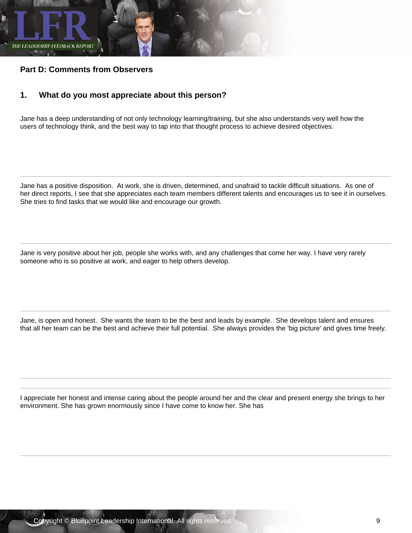

### **Part D: Comments from Observers**

#### **1. What do you most appreciate about this person?**

Jane has a deep understanding of not only technology learning/training, but she also understands very well how the users of technology think, and the best way to tap into that thought process to achieve desired objectives.

Jane has a positive disposition. At work, she is driven, determined, and unafraid to tackle difficult situations. As one of her direct reports, I see that she appreciates each team members different talents and encourages us to see it in ourselves. She tries to find tasks that we would like and encourage our growth.

Jane is very positive about her job, people she works with, and any challenges that come her way. I have very rarely someone who is so positive at work, and eager to help others develop.

Jane, is open and honest. She wants the team to be the best and leads by example. She develops talent and ensures that all her team can be the best and achieve their full potential. She always provides the 'big picture' and gives time freely.

I appreciate her honest and intense caring about the people around her and the clear and present energy she brings to her environment. She has grown enormously since I have come to know her. She has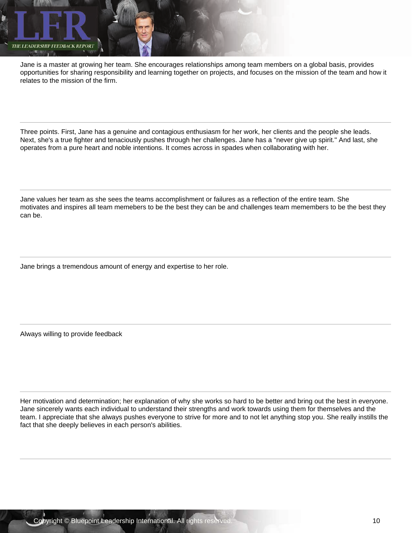

Jane is a master at growing her team. She encourages relationships among team members on a global basis, provides opportunities for sharing responsibility and learning together on projects, and focuses on the mission of the team and how it relates to the mission of the firm.

Three points. First, Jane has a genuine and contagious enthusiasm for her work, her clients and the people she leads. Next, she's a true fighter and tenaciously pushes through her challenges. Jane has a "never give up spirit." And last, she operates from a pure heart and noble intentions. It comes across in spades when collaborating with her.

Jane values her team as she sees the teams accomplishment or failures as a reflection of the entire team. She motivates and inspires all team memebers to be the best they can be and challenges team memembers to be the best they can be.

Jane brings a tremendous amount of energy and expertise to her role.

Always willing to provide feedback

Her motivation and determination; her explanation of why she works so hard to be better and bring out the best in everyone. Jane sincerely wants each individual to understand their strengths and work towards using them for themselves and the team. I appreciate that she always pushes everyone to strive for more and to not let anything stop you. She really instills the fact that she deeply believes in each person's abilities.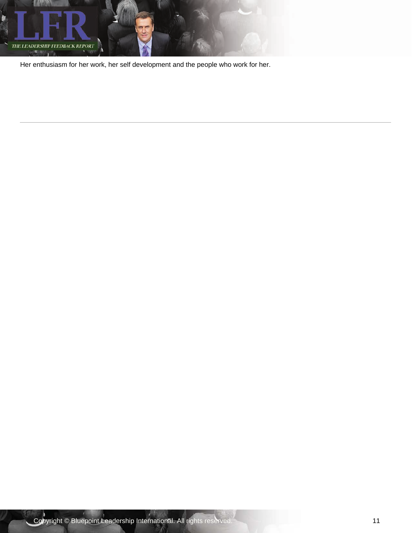

Her enthusiasm for her work, her self development and the people who work for her.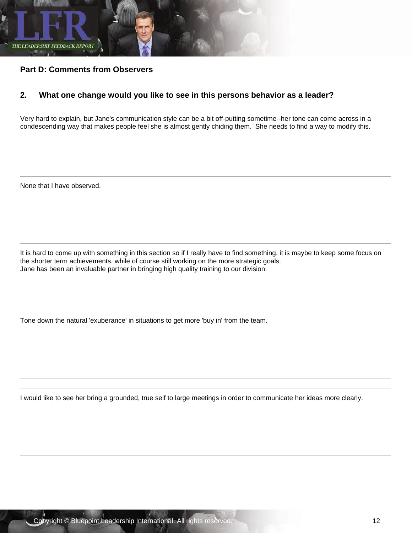

## **Part D: Comments from Observers**

## **2. What one change would you like to see in this persons behavior as a leader?**

Very hard to explain, but Jane's communication style can be a bit off-putting sometime--her tone can come across in a condescending way that makes people feel she is almost gently chiding them. She needs to find a way to modify this.

None that I have observed.

It is hard to come up with something in this section so if I really have to find something, it is maybe to keep some focus on the shorter term achievements, while of course still working on the more strategic goals. Jane has been an invaluable partner in bringing high quality training to our division.

Tone down the natural 'exuberance' in situations to get more 'buy in' from the team.

I would like to see her bring a grounded, true self to large meetings in order to communicate her ideas more clearly.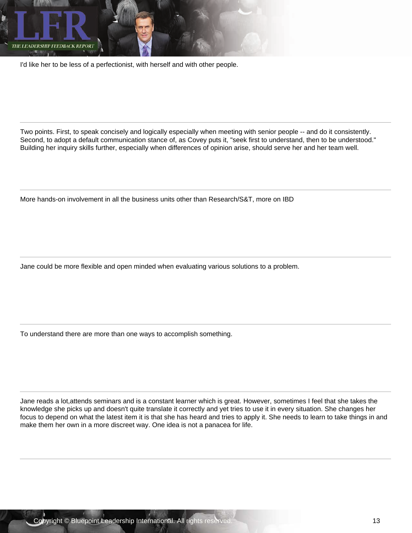

I'd like her to be less of a perfectionist, with herself and with other people.

Two points. First, to speak concisely and logically especially when meeting with senior people -- and do it consistently. Second, to adopt a default communication stance of, as Covey puts it, "seek first to understand, then to be understood." Building her inquiry skills further, especially when differences of opinion arise, should serve her and her team well.

More hands-on involvement in all the business units other than Research/S&T, more on IBD

Jane could be more flexible and open minded when evaluating various solutions to a problem.

To understand there are more than one ways to accomplish something.

Jane reads a lot,attends seminars and is a constant learner which is great. However, sometimes I feel that she takes the knowledge she picks up and doesn't quite translate it correctly and yet tries to use it in every situation. She changes her focus to depend on what the latest item it is that she has heard and tries to apply it. She needs to learn to take things in and make them her own in a more discreet way. One idea is not a panacea for life.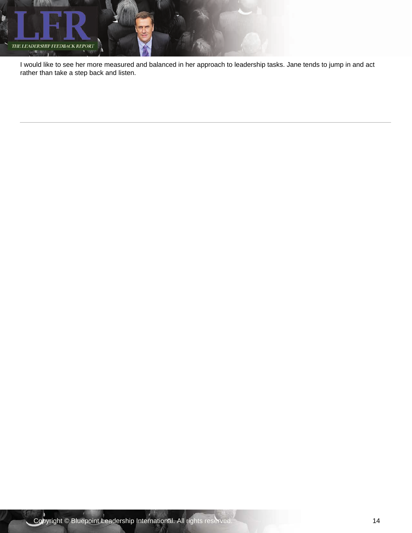

I would like to see her more measured and balanced in her approach to leadership tasks. Jane tends to jump in and act rather than take a step back and listen.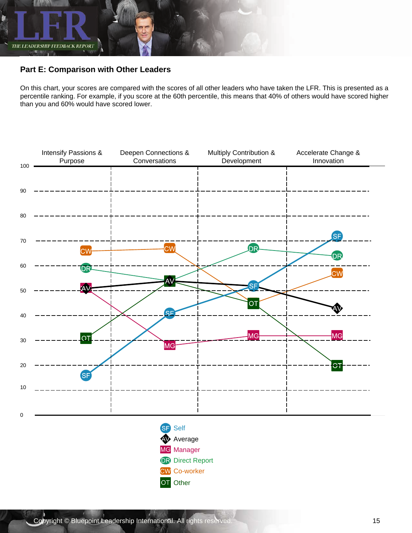

## **Part E: Comparison with Other Leaders**

On this chart, your scores are compared with the scores of all other leaders who have taken the LFR. This is presented as a percentile ranking. For example, if you score at the 60th percentile, this means that 40% of others would have scored higher than you and 60% would have scored lower.

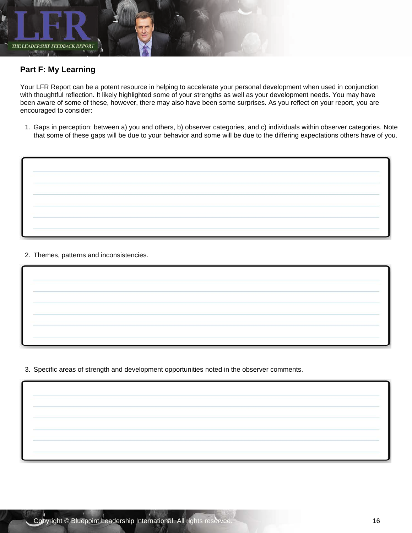

## **Part F: My Learning**

Your LFR Report can be a potent resource in helping to accelerate your personal development when used in conjunction with thoughtful reflection. It likely highlighted some of your strengths as well as your development needs. You may have been aware of some of these, however, there may also have been some surprises. As you reflect on your report, you are encouraged to consider:

1. Gaps in perception: between a) you and others, b) observer categories, and c) individuals within observer categories. Note that some of these gaps will be due to your behavior and some will be due to the differing expectations others have of you.



2. Themes, patterns and inconsistencies.

3. Specific areas of strength and development opportunities noted in the observer comments.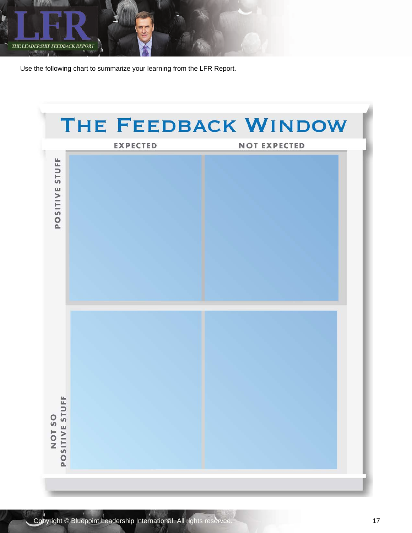

Use the following chart to summarize your learning from the LFR Report.

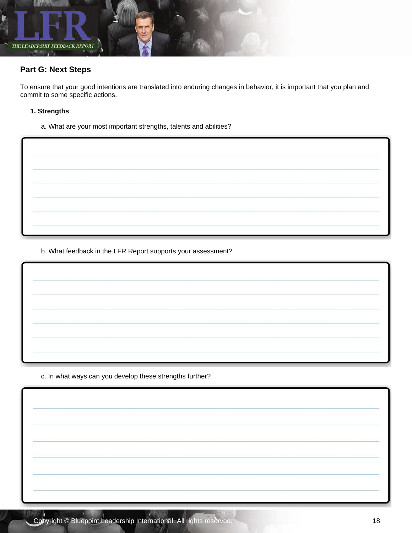

## **Part G: Next Steps**

To ensure that your good intentions are translated into enduring changes in behavior, it is important that you plan and commit to some specific actions.

#### **1. Strengths**

a. What are your most important strengths, talents and abilities?

b. What feedback in the LFR Report supports your assessment?

c. In what ways can you develop these strengths further?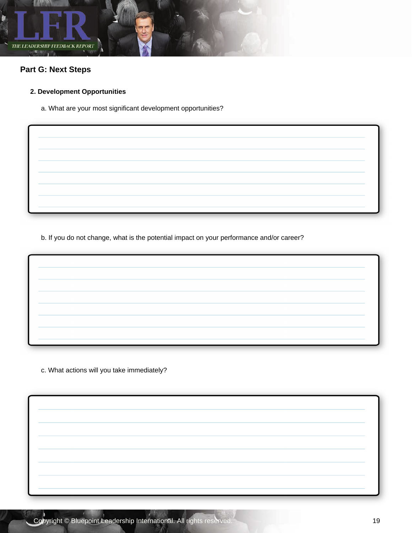

## **Part G: Next Steps**

## **2. Development Opportunities**

a. What are your most significant development opportunities?

b. If you do not change, what is the potential impact on your performance and/or career?

c. What actions will you take immediately?